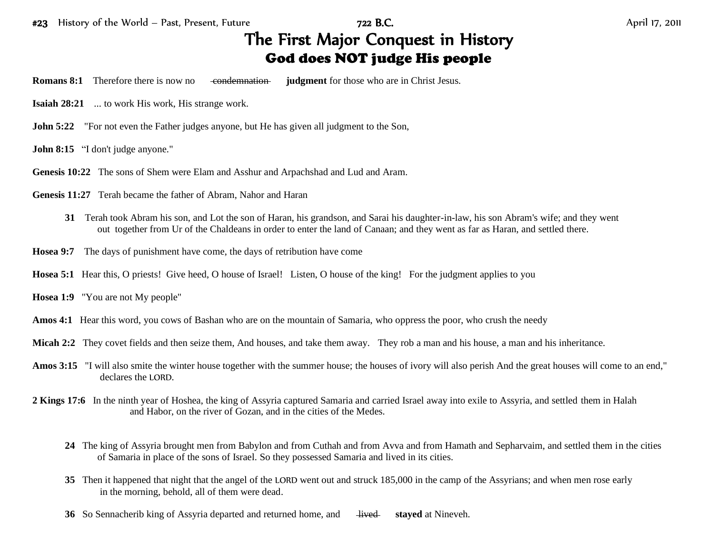## The First Major Conquest in History God does NOT judge His people

- **Romans 8:1** Therefore there is now no condemnation **judgment** for those who are in Christ Jesus.
- **Isaiah 28:21** ... to work His work, His strange work.
- **John 5:22** "For not even the Father judges anyone, but He has given all judgment to the Son,
- **John 8:15** "I don't judge anyone."
- **Genesis 10:22** The sons of Shem were Elam and Asshur and Arpachshad and Lud and Aram.
- **Genesis 11:27** Terah became the father of Abram, Nahor and Haran
	- **31** Terah took Abram his son, and Lot the son of Haran, his grandson, and Sarai his daughter-in-law, his son Abram's wife; and they went out together from Ur of the Chaldeans in order to enter the land of Canaan; and they went as far as Haran, and settled there.
- **Hosea 9:7** The days of punishment have come, the days of retribution have come
- **Hosea 5:1** Hear this, O priests! Give heed, O house of Israel! Listen, O house of the king! For the judgment applies to you
- **Hosea 1:9** "You are not My people"
- **Amos 4:1** Hear this word, you cows of Bashan who are on the mountain of Samaria, who oppress the poor, who crush the needy
- **Micah 2:2** They covet fields and then seize them, And houses, and take them away. They rob a man and his house, a man and his inheritance.
- Amos 3:15 "I will also smite the winter house together with the summer house; the houses of ivory will also perish And the great houses will come to an end," declares the LORD.
- **2 Kings 17:6** In the ninth year of Hoshea, the king of Assyria captured Samaria and carried Israel away into exile to Assyria, and settled them in Halah and Habor, on the river of Gozan, and in the cities of the Medes.
	- **24** The king of Assyria brought men from Babylon and from Cuthah and from Avva and from Hamath and Sepharvaim, and settled them in the cities of Samaria in place of the sons of Israel. So they possessed Samaria and lived in its cities.
	- **35** Then it happened that night that the angel of the LORD went out and struck 185,000 in the camp of the Assyrians; and when men rose early in the morning, behold, all of them were dead.
	- **36** So Sennacherib king of Assyria departed and returned home, and <del>lived</del> stayed at Nineveh.